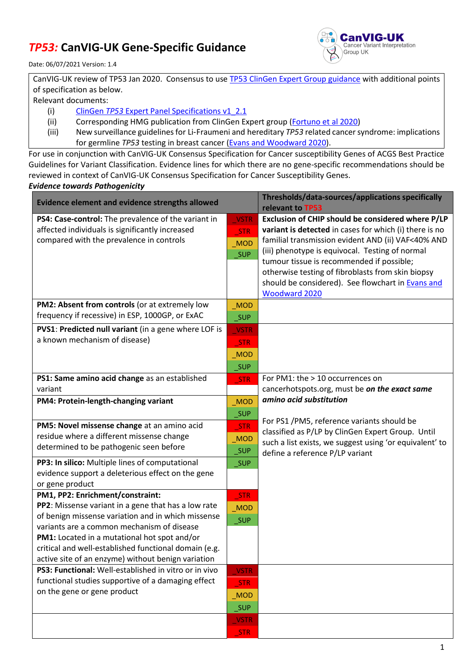## *TP53:* **CanVIG-UK Gene-Specific Guidance**



Date: 06/07/2021 Version: 1.4

| CanVIG-UK review of TP53 Jan 2020. Consensus to use TP53 ClinGen Expert Group guidance with additional points |  |  |  |
|---------------------------------------------------------------------------------------------------------------|--|--|--|
| of specification as below.                                                                                    |  |  |  |
| Relevant documents:                                                                                           |  |  |  |

- (i) ClinGen *TP53* [Expert Panel Specifications v1\\_2.1](https://clinicalgenome.org/site/assets/files/5990/clingen_tp53_acmg_specifications_v1_2-1.pdf)
- (ii) Corresponding HMG publication from ClinGen Expert group [\(Fortuno et](https://onlinelibrary.wiley.com/doi/10.1002/humu.24152) al 2020)
- (iii) New surveillance guidelines for Li‑Fraumeni and hereditary *TP53* related cancer syndrome: implications for germline *TP53* testing in breast cancer [\(Evans and Woodward 2020\)](https://link.springer.com/article/10.1007%2Fs10689-020-00207-z).

For use in conjunction with CanVIG-UK Consensus Specification for Cancer susceptibility Genes of ACGS Best Practice Guidelines for Variant Classification. Evidence lines for which there are no gene-specific recommendations should be reviewed in context of CanVIG-UK Consensus Specification for Cancer Susceptibility Genes.

## *Evidence towards Pathogenicity*

| <b>Evidence element and evidence strengths allowed</b>                                                |                   | Thresholds/data-sources/applications specifically<br>relevant to TP53                      |  |
|-------------------------------------------------------------------------------------------------------|-------------------|--------------------------------------------------------------------------------------------|--|
| PS4: Case-control: The prevalence of the variant in                                                   | <b>VSTR</b>       | Exclusion of CHIP should be considered where P/LP                                          |  |
| affected individuals is significantly increased                                                       | STR               | variant is detected in cases for which (i) there is no                                     |  |
| compared with the prevalence in controls                                                              | MOD               | familial transmission evident AND (ii) VAF<40% AND                                         |  |
|                                                                                                       | <b>SUP</b>        | (iii) phenotype is equivocal. Testing of normal                                            |  |
|                                                                                                       |                   | tumour tissue is recommended if possible;                                                  |  |
|                                                                                                       |                   | otherwise testing of fibroblasts from skin biopsy                                          |  |
|                                                                                                       |                   | should be considered). See flowchart in Evans and                                          |  |
|                                                                                                       |                   | Woodward 2020                                                                              |  |
| PM2: Absent from controls (or at extremely low                                                        | MOD               |                                                                                            |  |
| frequency if recessive) in ESP, 1000GP, or ExAC                                                       | $\_SUP$           |                                                                                            |  |
| PVS1: Predicted null variant (in a gene where LOF is                                                  | <b>VSTR</b>       |                                                                                            |  |
| a known mechanism of disease)                                                                         | STR               |                                                                                            |  |
|                                                                                                       | MOD               |                                                                                            |  |
|                                                                                                       | _SUP              |                                                                                            |  |
| PS1: Same amino acid change as an established                                                         | <b>STR</b>        | For PM1: the > 10 occurrences on                                                           |  |
| variant                                                                                               |                   | cancerhotspots.org, must be on the exact same                                              |  |
| PM4: Protein-length-changing variant                                                                  | MOD               | amino acid substitution                                                                    |  |
|                                                                                                       | _SUP              |                                                                                            |  |
| PM5: Novel missense change at an amino acid                                                           | $\_STR$           | For PS1 /PM5, reference variants should be                                                 |  |
| residue where a different missense change                                                             | $_MOD$            | classified as P/LP by ClinGen Expert Group. Until                                          |  |
| determined to be pathogenic seen before                                                               | $\_SUP$           | such a list exists, we suggest using 'or equivalent' to<br>define a reference P/LP variant |  |
| PP3: In silico: Multiple lines of computational                                                       | $\_SUP$           |                                                                                            |  |
| evidence support a deleterious effect on the gene                                                     |                   |                                                                                            |  |
| or gene product                                                                                       |                   |                                                                                            |  |
| PM1, PP2: Enrichment/constraint:                                                                      | STR               |                                                                                            |  |
| PP2: Missense variant in a gene that has a low rate                                                   | $_MOD$            |                                                                                            |  |
| of benign missense variation and in which missense                                                    | <b>SUP</b>        |                                                                                            |  |
| variants are a common mechanism of disease                                                            |                   |                                                                                            |  |
| PM1: Located in a mutational hot spot and/or<br>critical and well-established functional domain (e.g. |                   |                                                                                            |  |
| active site of an enzyme) without benign variation                                                    |                   |                                                                                            |  |
| PS3: Functional: Well-established in vitro or in vivo                                                 | <b>VSTR</b>       |                                                                                            |  |
| functional studies supportive of a damaging effect                                                    | <b>STR</b>        |                                                                                            |  |
| on the gene or gene product                                                                           | MOD               |                                                                                            |  |
|                                                                                                       | $\_SUP$           |                                                                                            |  |
|                                                                                                       | VSTR              |                                                                                            |  |
|                                                                                                       | $_{\text{-}}$ STR |                                                                                            |  |
|                                                                                                       |                   |                                                                                            |  |